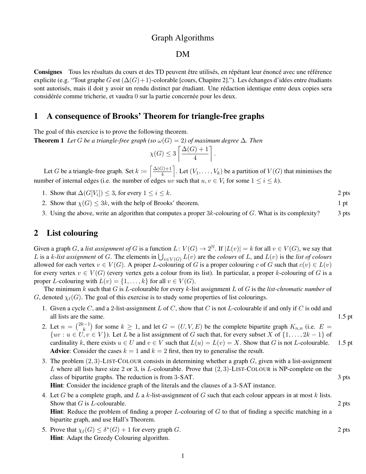## Graph Algorithms

#### DM

Consignes Tous les résultats du cours et des TD peuvent être utilisés, en répétant leur énoncé avec une référence explicite (e.g. "Tout graphe G est  $(\Delta(G)+1)$ -colorable [cours, Chapitre 2]."). Les échanges d'idées entre étudiants sont autorisés, mais il doit y avoir un rendu distinct par étudiant. Une rédaction identique entre deux copies sera considérée comme tricherie, et vaudra 0 sur la partie concernée pour les deux.

### 1 A consequence of Brooks' Theorem for triangle-free graphs

The goal of this exercice is to prove the following theorem.

**Theorem 1** Let G be a triangle-free graph (so  $\omega(G) = 2$ ) of maximum degree  $\Delta$ . Then

$$
\chi(G) \le 3 \left\lceil \frac{\Delta(G) + 1}{4} \right\rceil.
$$

Let G be a triangle-free graph. Set  $k := \left\lceil \frac{\Delta(G) + 1}{4} \right\rceil$  $\left[\frac{F+1}{4}\right]$ . Let  $(V_1,\ldots,V_k)$  be a partition of  $V(G)$  that minimises the number of internal edges (i.e. the number of edges uv such that  $u, v \in V_i$  for some  $1 \le i \le k$ ).

- 1. Show that  $\Delta(G[V_i]) \leq 3$ , for every  $1 \leq i \leq k$ . 2 pts
- 2. Show that  $\chi(G) \leq 3k$ , with the help of Brooks' theorem. 1 pt
- 3. Using the above, write an algorithm that computes a proper  $3k$ -colouring of G. What is its complexity? 3 pts

### 2 List colouring

Given a graph G, a *list assignment of* G is a function  $L: V(G) \to 2^{\mathbb{N}}$ . If  $|L(v)| = k$  for all  $v \in V(G)$ , we say that L is a k-list assignment of G. The elements in  $\bigcup_{v \in V(G)} L(v)$  are the *colours* of L, and  $L(v)$  is the *list of colours* allowed for each vertex  $v \in V(G)$ . A proper L-colouring of G is a proper colouring c of G such that  $c(v) \in L(v)$ for every vertex  $v \in V(G)$  (every vertex gets a colour from its list). In particular, a proper k-colouring of G is a proper L-colouring with  $L(v) = \{1, \ldots, k\}$  for all  $v \in V(G)$ .

The minimum  $k$  such that  $G$  is  $L$ -colourable for every  $k$ -list assignment  $L$  of  $G$  is the *list-chromatic number* of G, denoted  $\chi_{\ell}(G)$ . The goal of this exercise is to study some properties of list colourings.

- 1. Given a cycle C, and a 2-list-assignment L of C, show that C is not L-colourable if and only if C is odd and all lists are the same. 1.5 pt
- 2. Let  $n = \binom{2k-1}{k}$  $(k_k^{n-1})$  for some  $k \geq 1$ , and let  $G = (U, V, E)$  be the complete bipartite graph  $K_{n,n}$  (i.e.  $E =$  $\{uv : u \in U, v \in V\}$ ). Let L be a list assignment of G such that, for every subset X of  $\{1, \ldots, 2k-1\}$  of cardinality k, there exists  $u \in U$  and  $v \in V$  such that  $L(u) = L(v) = X$ . Show that G is not L-colourable. 1.5 pt **Advice:** Consider the cases  $k = 1$  and  $k = 2$  first, then try to generalise the result.
- 3. The problem  $(2, 3)$ -LIST-COLOUR consists in determining whether a graph  $G$ , given with a list-assignment L where all lists have size 2 or 3, is L-colourable. Prove that  $(2, 3)$ -LIST-COLOUR is NP-complete on the class of bipartite graphs. The reduction is from 3-SAT. 3 pts

Hint: Consider the incidence graph of the literals and the clauses of a 3-SAT instance.

- 4. Let G be a complete graph, and L a k-list-assignment of G such that each colour appears in at most k lists. Show that  $G$  is L-colourable. 2 pts **Hint**: Reduce the problem of finding a proper  $L$ -colouring of  $G$  to that of finding a specific matching in a bipartite graph, and use Hall's Theorem.
- 5. Prove that  $\chi_{\ell}(G) \leq \delta^*(G) + 1$  for every graph G. 2 pts Hint: Adapt the Greedy Colouring algorithm.